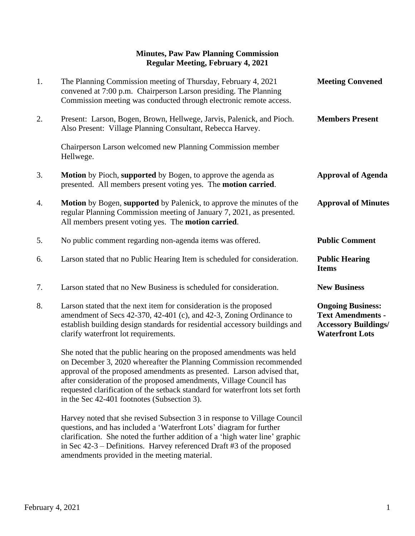## **Minutes, Paw Paw Planning Commission Regular Meeting, February 4, 2021**

| 1.               | The Planning Commission meeting of Thursday, February 4, 2021<br>convened at 7:00 p.m. Chairperson Larson presiding. The Planning<br>Commission meeting was conducted through electronic remote access.                                                                                                                                                                                                                      | <b>Meeting Convened</b>                                                                                       |
|------------------|------------------------------------------------------------------------------------------------------------------------------------------------------------------------------------------------------------------------------------------------------------------------------------------------------------------------------------------------------------------------------------------------------------------------------|---------------------------------------------------------------------------------------------------------------|
| 2.               | Present: Larson, Bogen, Brown, Hellwege, Jarvis, Palenick, and Pioch.<br>Also Present: Village Planning Consultant, Rebecca Harvey.                                                                                                                                                                                                                                                                                          | <b>Members Present</b>                                                                                        |
|                  | Chairperson Larson welcomed new Planning Commission member<br>Hellwege.                                                                                                                                                                                                                                                                                                                                                      |                                                                                                               |
| 3.               | Motion by Pioch, supported by Bogen, to approve the agenda as<br>presented. All members present voting yes. The <b>motion carried</b> .                                                                                                                                                                                                                                                                                      | <b>Approval of Agenda</b>                                                                                     |
| $\overline{4}$ . | <b>Motion</b> by Bogen, supported by Palenick, to approve the minutes of the<br>regular Planning Commission meeting of January 7, 2021, as presented.<br>All members present voting yes. The motion carried.                                                                                                                                                                                                                 | <b>Approval of Minutes</b>                                                                                    |
| 5.               | No public comment regarding non-agenda items was offered.                                                                                                                                                                                                                                                                                                                                                                    | <b>Public Comment</b>                                                                                         |
| 6.               | Larson stated that no Public Hearing Item is scheduled for consideration.                                                                                                                                                                                                                                                                                                                                                    | <b>Public Hearing</b><br><b>Items</b>                                                                         |
| 7.               | Larson stated that no New Business is scheduled for consideration.                                                                                                                                                                                                                                                                                                                                                           | <b>New Business</b>                                                                                           |
| 8.               | Larson stated that the next item for consideration is the proposed<br>amendment of Secs 42-370, 42-401 (c), and 42-3, Zoning Ordinance to<br>establish building design standards for residential accessory buildings and<br>clarify waterfront lot requirements.                                                                                                                                                             | <b>Ongoing Business:</b><br><b>Text Amendments -</b><br><b>Accessory Buildings/</b><br><b>Waterfront Lots</b> |
|                  | She noted that the public hearing on the proposed amendments was held<br>on December 3, 2020 whereafter the Planning Commission recommended<br>approval of the proposed amendments as presented. Larson advised that,<br>after consideration of the proposed amendments, Village Council has<br>requested clarification of the setback standard for waterfront lots set forth<br>in the Sec 42-401 footnotes (Subsection 3). |                                                                                                               |

Harvey noted that she revised Subsection 3 in response to Village Council questions, and has included a 'Waterfront Lots' diagram for further clarification. She noted the further addition of a 'high water line' graphic in Sec 42-3 – Definitions. Harvey referenced Draft #3 of the proposed amendments provided in the meeting material.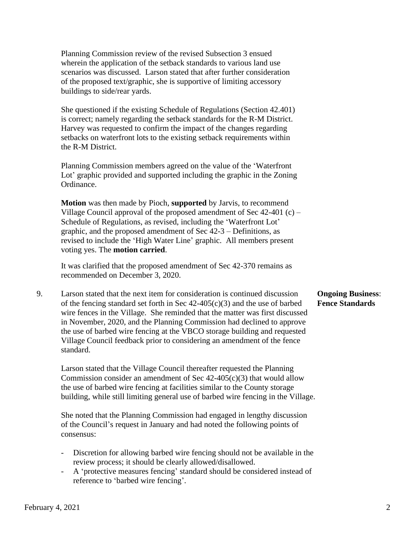Planning Commission review of the revised Subsection 3 ensued wherein the application of the setback standards to various land use scenarios was discussed. Larson stated that after further consideration of the proposed text/graphic, she is supportive of limiting accessory buildings to side/rear yards.

She questioned if the existing Schedule of Regulations (Section 42.401) is correct; namely regarding the setback standards for the R-M District. Harvey was requested to confirm the impact of the changes regarding setbacks on waterfront lots to the existing setback requirements within the R-M District.

Planning Commission members agreed on the value of the 'Waterfront Lot' graphic provided and supported including the graphic in the Zoning Ordinance.

**Motion** was then made by Pioch, **supported** by Jarvis, to recommend Village Council approval of the proposed amendment of Sec  $42-401$  (c) – Schedule of Regulations, as revised, including the 'Waterfront Lot' graphic, and the proposed amendment of Sec 42-3 – Definitions, as revised to include the 'High Water Line' graphic. All members present voting yes. The **motion carried**.

 It was clarified that the proposed amendment of Sec 42-370 remains as recommended on December 3, 2020.

9. Larson stated that the next item for consideration is continued discussion **Ongoing Business**: of the fencing standard set forth in Sec 42-405(c)(3) and the use of barbed **Fence Standards** wire fences in the Village. She reminded that the matter was first discussed in November, 2020, and the Planning Commission had declined to approve the use of barbed wire fencing at the VBCO storage building and requested Village Council feedback prior to considering an amendment of the fence standard.

 Larson stated that the Village Council thereafter requested the Planning Commission consider an amendment of Sec  $42-405(c)(3)$  that would allow the use of barbed wire fencing at facilities similar to the County storage building, while still limiting general use of barbed wire fencing in the Village.

 She noted that the Planning Commission had engaged in lengthy discussion of the Council's request in January and had noted the following points of consensus:

- Discretion for allowing barbed wire fencing should not be available in the review process; it should be clearly allowed/disallowed.
- A 'protective measures fencing' standard should be considered instead of reference to 'barbed wire fencing'.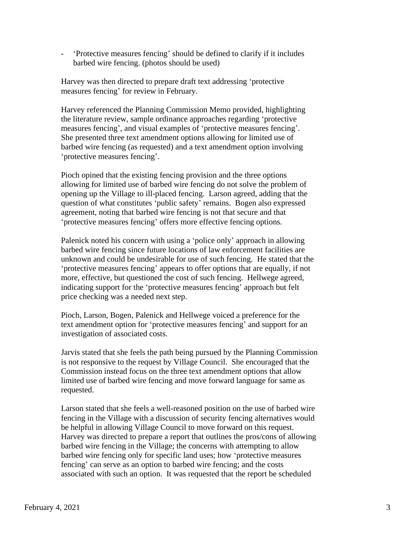- 'Protective measures fencing' should be defined to clarify if it includes barbed wire fencing. (photos should be used)

 Harvey was then directed to prepare draft text addressing 'protective measures fencing' for review in February.

 Harvey referenced the Planning Commission Memo provided, highlighting the literature review, sample ordinance approaches regarding 'protective measures fencing', and visual examples of 'protective measures fencing'. She presented three text amendment options allowing for limited use of barbed wire fencing (as requested) and a text amendment option involving 'protective measures fencing'.

 Pioch opined that the existing fencing provision and the three options allowing for limited use of barbed wire fencing do not solve the problem of opening up the Village to ill-placed fencing. Larson agreed, adding that the question of what constitutes 'public safety' remains. Bogen also expressed agreement, noting that barbed wire fencing is not that secure and that 'protective measures fencing' offers more effective fencing options.

 Palenick noted his concern with using a 'police only' approach in allowing barbed wire fencing since future locations of law enforcement facilities are unknown and could be undesirable for use of such fencing. He stated that the 'protective measures fencing' appears to offer options that are equally, if not more, effective, but questioned the cost of such fencing. Hellwege agreed, indicating support for the 'protective measures fencing' approach but felt price checking was a needed next step.

 Pioch, Larson, Bogen, Palenick and Hellwege voiced a preference for the text amendment option for 'protective measures fencing' and support for an investigation of associated costs.

 Jarvis stated that she feels the path being pursued by the Planning Commission is not responsive to the request by Village Council. She encouraged that the Commission instead focus on the three text amendment options that allow limited use of barbed wire fencing and move forward language for same as requested.

Larson stated that she feels a well-reasoned position on the use of barbed wire fencing in the Village with a discussion of security fencing alternatives would be helpful in allowing Village Council to move forward on this request. Harvey was directed to prepare a report that outlines the pros/cons of allowing barbed wire fencing in the Village; the concerns with attempting to allow barbed wire fencing only for specific land uses; how 'protective measures fencing' can serve as an option to barbed wire fencing; and the costs associated with such an option. It was requested that the report be scheduled